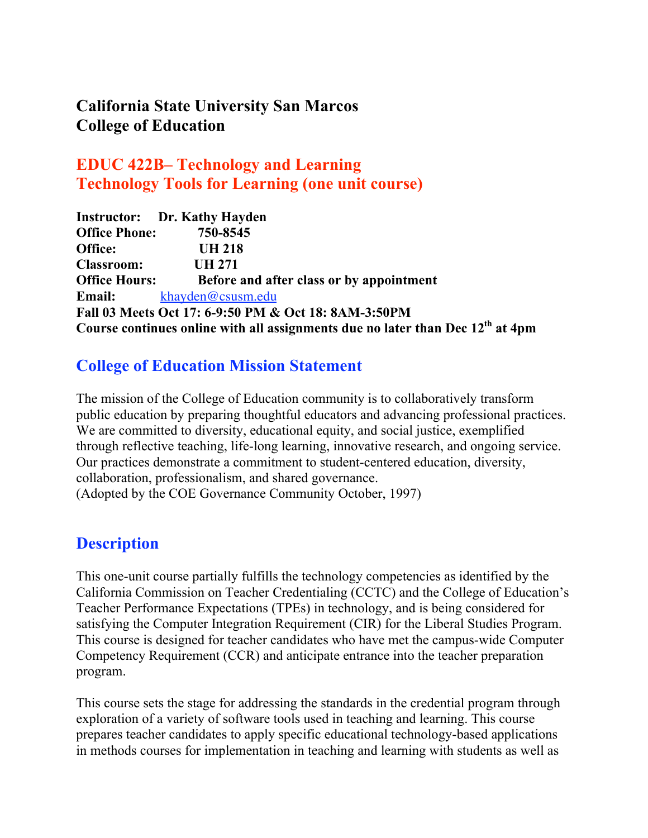### **California State University San Marcos College of Education**

### **EDUC 422B– Technology and Learning Technology Tools for Learning (one unit course)**

|                   | <b>Instructor:</b> Dr. Kathy Hayden |                                                                                            |
|-------------------|-------------------------------------|--------------------------------------------------------------------------------------------|
|                   | <b>Office Phone:</b> 750-8545       |                                                                                            |
| Office:           | <b>UH 218</b>                       |                                                                                            |
| <b>Classroom:</b> | <b>UH 271</b>                       |                                                                                            |
|                   |                                     | <b>Office Hours:</b> Before and after class or by appointment                              |
|                   | <b>Email:</b> khayden@csusm.edu     |                                                                                            |
|                   |                                     | Fall 03 Meets Oct 17: 6-9:50 PM & Oct 18: 8AM-3:50PM                                       |
|                   |                                     | Course continues online with all assignments due no later than Dec 12 <sup>th</sup> at 4pm |

#### **College of Education Mission Statement**

The mission of the College of Education community is to collaboratively transform public education by preparing thoughtful educators and advancing professional practices. We are committed to diversity, educational equity, and social justice, exemplified through reflective teaching, life-long learning, innovative research, and ongoing service. Our practices demonstrate a commitment to student-centered education, diversity, collaboration, professionalism, and shared governance. (Adopted by the COE Governance Community October, 1997)

#### **Description**

This one-unit course partially fulfills the technology competencies as identified by the California Commission on Teacher Credentialing (CCTC) and the College of Education's Teacher Performance Expectations (TPEs) in technology, and is being considered for satisfying the Computer Integration Requirement (CIR) for the Liberal Studies Program. This course is designed for teacher candidates who have met the campus-wide Computer Competency Requirement (CCR) and anticipate entrance into the teacher preparation program.

This course sets the stage for addressing the standards in the credential program through exploration of a variety of software tools used in teaching and learning. This course prepares teacher candidates to apply specific educational technology-based applications in methods courses for implementation in teaching and learning with students as well as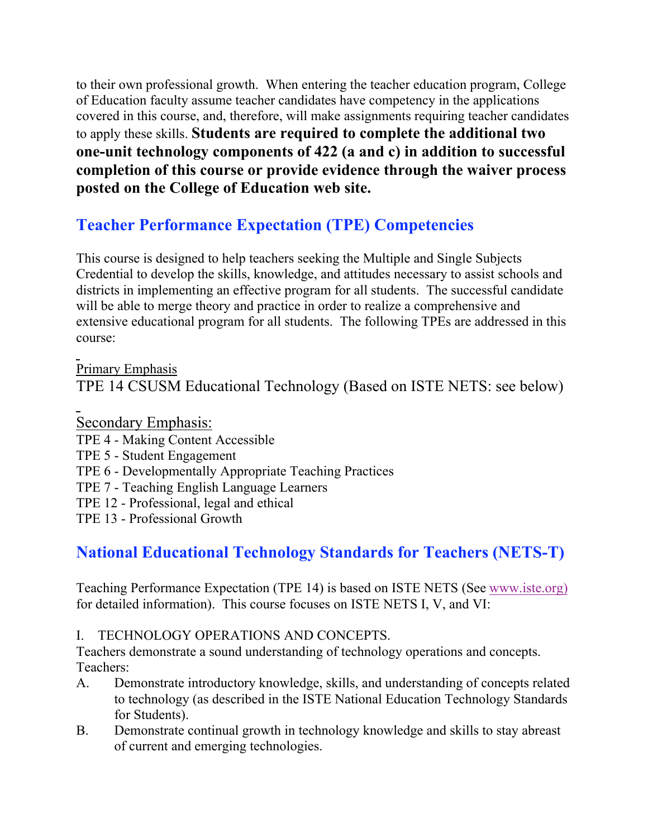to their own professional growth. When entering the teacher education program, College of Education faculty assume teacher candidates have competency in the applications covered in this course, and, therefore, will make assignments requiring teacher candidates to apply these skills. **Students are required to complete the additional two one-unit technology components of 422 (a and c) in addition to successful completion of this course or provide evidence through the waiver process posted on the College of Education web site.**

## **Teacher Performance Expectation (TPE) Competencies**

This course is designed to help teachers seeking the Multiple and Single Subjects Credential to develop the skills, knowledge, and attitudes necessary to assist schools and districts in implementing an effective program for all students. The successful candidate will be able to merge theory and practice in order to realize a comprehensive and extensive educational program for all students. The following TPEs are addressed in this course:

Primary Emphasis TPE 14 CSUSM Educational Technology (Based on ISTE NETS: see below)

Secondary Emphasis:

- TPE 4 Making Content Accessible
- TPE 5 Student Engagement
- TPE 6 Developmentally Appropriate Teaching Practices
- TPE 7 Teaching English Language Learners
- TPE 12 Professional, legal and ethical

TPE 13 - Professional Growth

## **National Educational Technology Standards for Teachers (NETS-T)**

Teaching Performance Expectation (TPE 14) is based on ISTE NETS (See www.iste.org) for detailed information). This course focuses on ISTE NETS I, V, and VI:

#### I. TECHNOLOGY OPERATIONS AND CONCEPTS.

Teachers demonstrate a sound understanding of technology operations and concepts. Teachers:

- A. Demonstrate introductory knowledge, skills, and understanding of concepts related to technology (as described in the ISTE National Education Technology Standards for Students).
- B. Demonstrate continual growth in technology knowledge and skills to stay abreast of current and emerging technologies.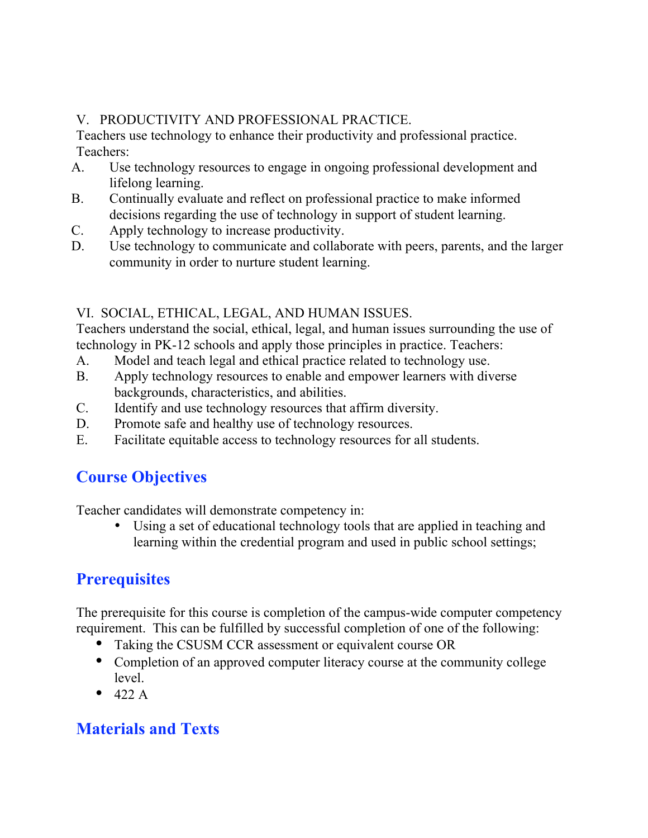#### V. PRODUCTIVITY AND PROFESSIONAL PRACTICE.

Teachers use technology to enhance their productivity and professional practice. Teachers:

- A. Use technology resources to engage in ongoing professional development and lifelong learning.
- B. Continually evaluate and reflect on professional practice to make informed decisions regarding the use of technology in support of student learning.
- C. Apply technology to increase productivity.
- D. Use technology to communicate and collaborate with peers, parents, and the larger community in order to nurture student learning.

#### VI. SOCIAL, ETHICAL, LEGAL, AND HUMAN ISSUES.

Teachers understand the social, ethical, legal, and human issues surrounding the use of technology in PK-12 schools and apply those principles in practice. Teachers:

- A. Model and teach legal and ethical practice related to technology use.
- B. Apply technology resources to enable and empower learners with diverse backgrounds, characteristics, and abilities.
- C. Identify and use technology resources that affirm diversity.
- D. Promote safe and healthy use of technology resources.
- E. Facilitate equitable access to technology resources for all students.

#### **Course Objectives**

Teacher candidates will demonstrate competency in:

Using a set of educational technology tools that are applied in teaching and learning within the credential program and used in public school settings;

### **Prerequisites**

The prerequisite for this course is completion of the campus-wide computer competency requirement. This can be fulfilled by successful completion of one of the following:

Taking the CSUSM CCR assessment or equivalent course OR

Completion of an approved computer literacy course at the community college level.

422 A

#### **Materials and Texts**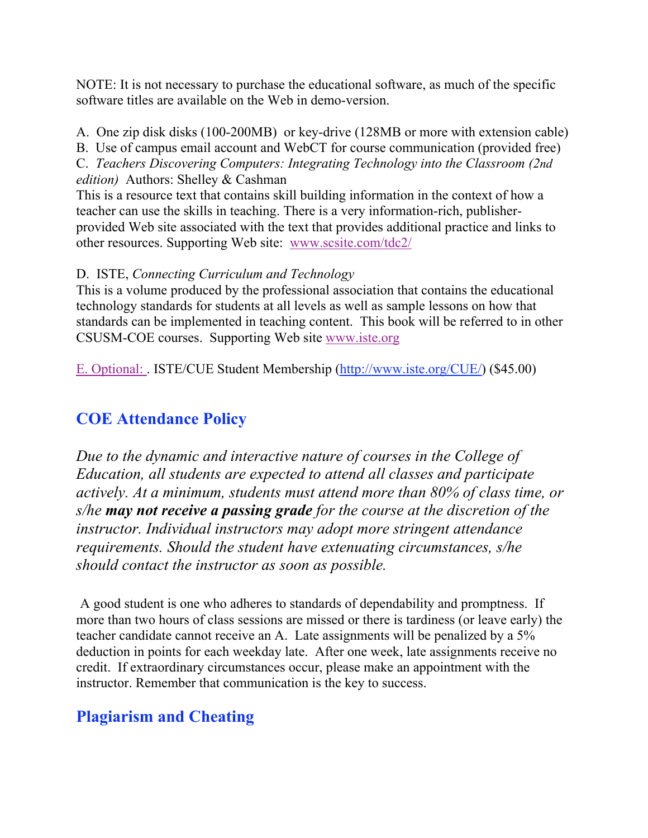NOTE: It is not necessary to purchase the educational software, as much of the specific software titles are available on the Web in demo-version.

A. One zip disk disks (100-200MB) or key-drive (128MB or more with extension cable)

B. Use of campus email account and WebCT for course communication (provided free) C. *Teachers Discovering Computers: Integrating Technology into the Classroom (2nd edition)* Authors: Shelley & Cashman

This is a resource text that contains skill building information in the context of how a teacher can use the skills in teaching. There is a very information-rich, publisherprovided Web site associated with the text that provides additional practice and links to other resources. Supporting Web site: www.scsite.com/tdc2/

#### D. ISTE, *Connecting Curriculum and Technology*

This is a volume produced by the professional association that contains the educational technology standards for students at all levels as well as sample lessons on how that standards can be implemented in teaching content. This book will be referred to in other CSUSM-COE courses. Supporting Web site www.iste.org

E. Optional: . ISTE/CUE Student Membership (http://www.iste.org/CUE/) (\$45.00)

## **COE Attendance Policy**

*Due to the dynamic and interactive nature of courses in the College of Education, all students are expected to attend all classes and participate actively. At a minimum, students must attend more than 80% of class time, or s/he may not receive a passing grade for the course at the discretion of the instructor. Individual instructors may adopt more stringent attendance requirements. Should the student have extenuating circumstances, s/he should contact the instructor as soon as possible.*

A good student is one who adheres to standards of dependability and promptness. If more than two hours of class sessions are missed or there is tardiness (or leave early) the teacher candidate cannot receive an A. Late assignments will be penalized by a 5% deduction in points for each weekday late. After one week, late assignments receive no credit. If extraordinary circumstances occur, please make an appointment with the instructor. Remember that communication is the key to success.

# **Plagiarism and Cheating**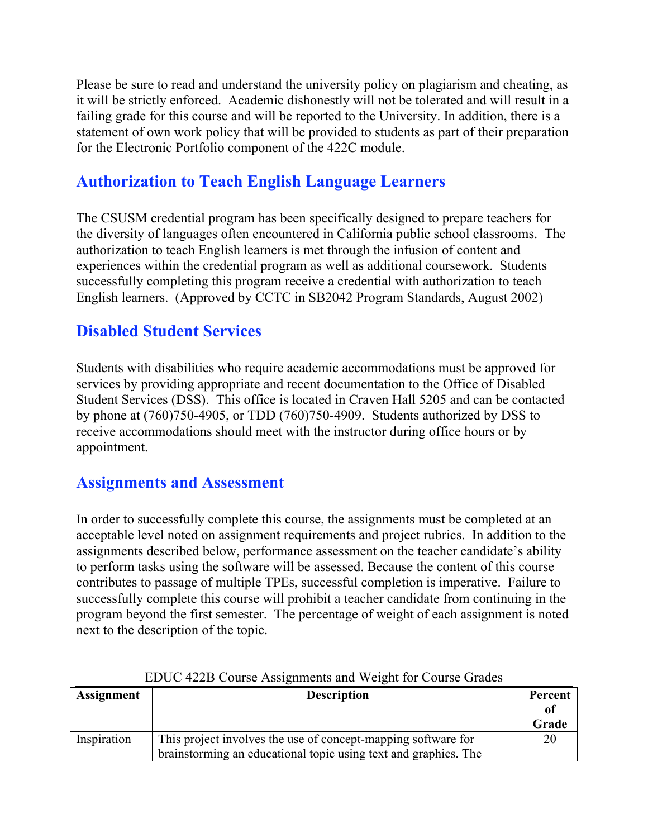Please be sure to read and understand the university policy on plagiarism and cheating, as it will be strictly enforced. Academic dishonestly will not be tolerated and will result in a failing grade for this course and will be reported to the University. In addition, there is a statement of own work policy that will be provided to students as part of their preparation for the Electronic Portfolio component of the 422C module.

### **Authorization to Teach English Language Learners**

The CSUSM credential program has been specifically designed to prepare teachers for the diversity of languages often encountered in California public school classrooms. The authorization to teach English learners is met through the infusion of content and experiences within the credential program as well as additional coursework. Students successfully completing this program receive a credential with authorization to teach English learners. (Approved by CCTC in SB2042 Program Standards, August 2002)

#### **Disabled Student Services**

Students with disabilities who require academic accommodations must be approved for services by providing appropriate and recent documentation to the Office of Disabled Student Services (DSS). This office is located in Craven Hall 5205 and can be contacted by phone at (760)750-4905, or TDD (760)750-4909. Students authorized by DSS to receive accommodations should meet with the instructor during office hours or by appointment.

#### **Assignments and Assessment**

In order to successfully complete this course, the assignments must be completed at an acceptable level noted on assignment requirements and project rubrics. In addition to the assignments described below, performance assessment on the teacher candidate's ability to perform tasks using the software will be assessed. Because the content of this course contributes to passage of multiple TPEs, successful completion is imperative. Failure to successfully complete this course will prohibit a teacher candidate from continuing in the program beyond the first semester. The percentage of weight of each assignment is noted next to the description of the topic.

| <b>Assignment</b> | <b>Description</b>                                                                                                               | Percent<br>01<br>Grade |
|-------------------|----------------------------------------------------------------------------------------------------------------------------------|------------------------|
| Inspiration       | This project involves the use of concept-mapping software for<br>brainstorming an educational topic using text and graphics. The | 20                     |

#### EDUC 422B Course Assignments and Weight for Course Grades